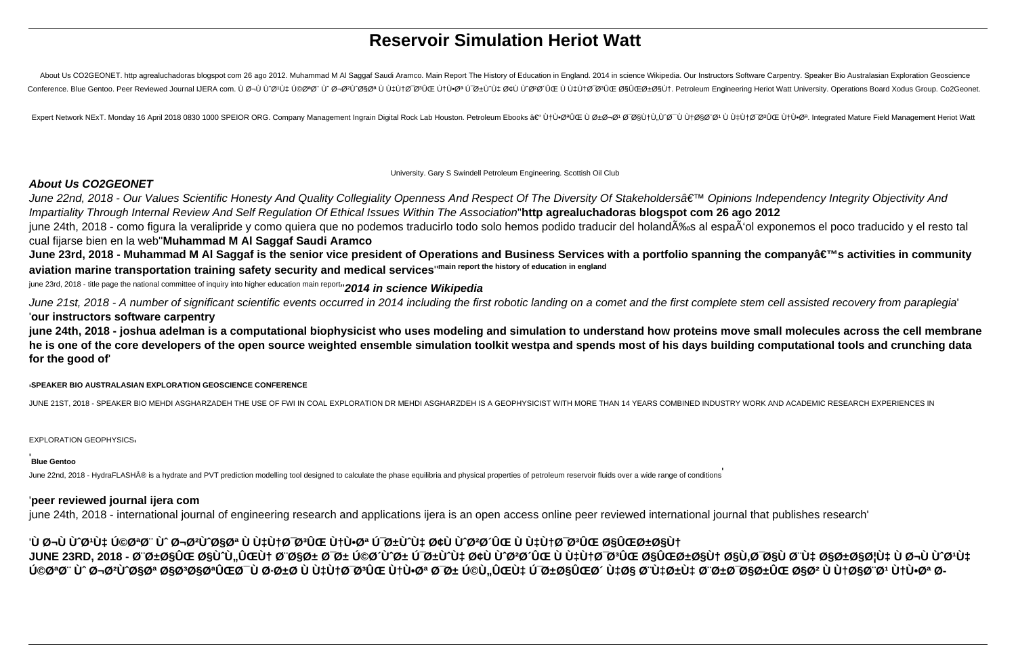# **Reservoir Simulation Heriot Watt**

About Us CO2GEONET. http agrealuchadoras blogspot com 26 ago 2012. Muhammad M Al Saggaf Saudi Aramco. Main Report The History of Education in England. 2014 in science Wikipedia. Our Instructors Software Carpentry. Speaker Conference. Blue Gentoo. Peer Reviewed Journal IJERA com. ٠جÙ びびいせ じのゆ しゅうしょう しょうかいちょう じせいの じょしょう じょうけん こうしょう こうしょう こうしょう こうしょう こうしょう こうしょう こうしょう こうしょう こうしょう こうしょう こうしょう こうしょう こうこう こうしょう こうしょう こうしょう こうこう こうしょう こうしょう こうこう

Expert Network NExT. Monday 16 April 2018 0830 1000 SPEIOR ORG. Company Management Ingrain Digital Rock Lab Houston. Petroleum Ebooks – ÙtٕتÛŒ ٠رجØ' Ø @&UtÙ.Ù°Ø' Ù ÙtاØ"Ø' Ù ÙtÙ+Ø®ºÛŒ Ù tÙ+ؕت. Integrated Mature

University. Gary S Swindell Petroleum Engineering. Scottish Oil Club

#### **About Us CO2GEONET**

June 22nd, 2018 - Our Values Scientific Honesty And Quality Collegiality Openness And Respect Of The Diversity Of Stakeholders' Opinions Independency Integrity Objectivity And Impartiality Through Internal Review And Self Regulation Of Ethical Issues Within The Association''**http agrealuchadoras blogspot com 26 ago 2012**

june 24th, 2018 - como figura la veralipride y como quiera que no podemos traducirlo todo solo hemos podido traducir del holandÉs al espaÃ'ol exponemos el poco traducido y el resto tal cual fijarse bien en la web''**Muhammad M Al Saggaf Saudi Aramco**

June 23rd, 2018 - Muhammad M Al Saggaf is the senior vice president of Operations and Business Services with a portfolio spanning the company's activities in community **aviation marine transportation training safety security and medical services**''**main report the history of education in england**

june 23rd, 2018 - title page the national committee of inquiry into higher education main report''**2014 in science Wikipedia**

June 21st, 2018 - A number of significant scientific events occurred in 2014 including the first robotic landing on a comet and the first complete stem cell assisted recovery from paraplegia' '**our instructors software carpentry**

**june 24th, 2018 - joshua adelman is a computational biophysicist who uses modeling and simulation to understand how proteins move small molecules across the cell membrane he is one of the core developers of the open source weighted ensemble simulation toolkit westpa and spends most of his days building computational tools and crunching data for the good of**'

'**SPEAKER BIO AUSTRALASIAN EXPLORATION GEOSCIENCE CONFERENCE**

JUNE 21ST, 2018 - SPEAKER BIO MEHDI ASGHARZADEH THE USE OF FWI IN COAL EXPLORATION DR MEHDI ASGHARZDEH IS A GEOPHYSICIST WITH MORE THAN 14 YEARS COMBINED INDUSTRY WORK AND ACADEMIC RESEARCH EXPERIENCES IN

EXPLORATION GEOPHYSICS'

#### '**Blue Gentoo**

June 22nd, 2018 - HydraFLASH® is a hydrate and PVT prediction modelling tool designed to calculate the phase equilibria and physical properties of petroleum reservoir fluids over a wide range of conditions

#### '**peer reviewed journal ijera com**

june 24th, 2018 - international journal of engineering research and applications ijera is an open access online peer reviewed international journal that publishes research'

### '٠جÙ Ù^Ø1Ù‡ کتØ'' Ù^ جØ<del>'</del>Ù^ات ٠هنØ<sup>−</sup>تÛŒ نٕت Ú<sup>−</sup>رÙ^Ù‡ Ø¢Ù Ù^Ø<del>'</del>Ø´ÛŒ ٠هنØ<sup>−</sup>تÛŒ ایراÙ† JUNE 23RD, 2018 - براÛŒ اÙ^Ù"ین بار Ø<sup>−</sup>ر Ú©Ø´Ù^ر Ú~رÙ^Ù‡ Ø¢Ù Ù^تØ´ÛŒ ٠هنØ~Ø\$ÛŒ ایراÙ† Ø\$Ù,بØ\$٠بÙ‡ Ø\$رائÙ‡ ٠جÙ Ù^تÙ‡ <u>V</u>@@a@" Ù^@¬@2U^@§@a @§@a@§@aUŒ@~ Ù @+@\_U هن@~@aUŒ نٕ@a @~ر Ú©Ù"ÛŒDI`U@±@\$W`U#@\$ @"Ù‡@\$@\$@#@#@\$@"@1 نٕ@a @-